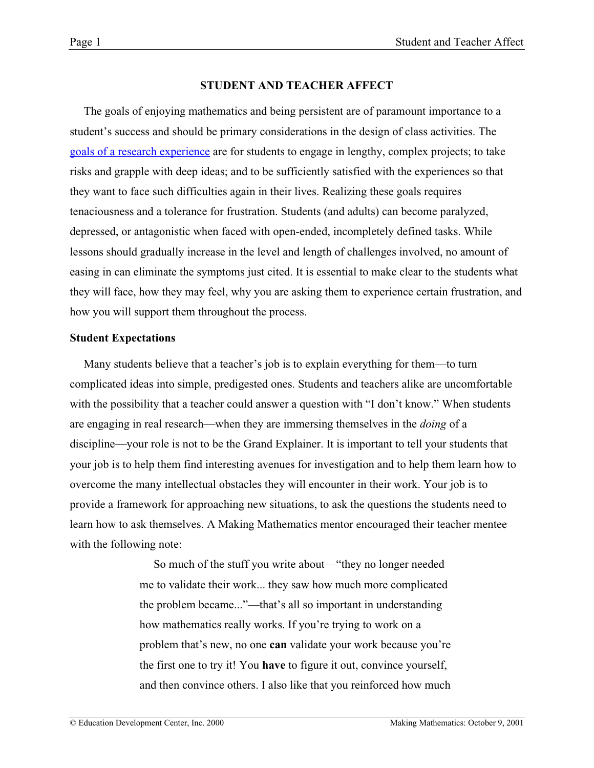# **STUDENT AND TEACHER AFFECT**

The goals of enjoying mathematics and being persistent are of paramount importance to a student's success and should be primary considerations in the design of class activities. The [goals of a research experience](http://www2.edc.org/makingmath/handbook/teacher/SettingAndSharingGoals/SettingAndSharingGoals.asp) are for students to engage in lengthy, complex projects; to take risks and grapple with deep ideas; and to be sufficiently satisfied with the experiences so that they want to face such difficulties again in their lives. Realizing these goals requires tenaciousness and a tolerance for frustration. Students (and adults) can become paralyzed, depressed, or antagonistic when faced with open-ended, incompletely defined tasks. While lessons should gradually increase in the level and length of challenges involved, no amount of easing in can eliminate the symptoms just cited. It is essential to make clear to the students what they will face, how they may feel, why you are asking them to experience certain frustration, and how you will support them throughout the process.

### **Student Expectations**

Many students believe that a teacher's job is to explain everything for them—to turn complicated ideas into simple, predigested ones. Students and teachers alike are uncomfortable with the possibility that a teacher could answer a question with "I don't know." When students are engaging in real research—when they are immersing themselves in the *doing* of a discipline—your role is not to be the Grand Explainer. It is important to tell your students that your job is to help them find interesting avenues for investigation and to help them learn how to overcome the many intellectual obstacles they will encounter in their work. Your job is to provide a framework for approaching new situations, to ask the questions the students need to learn how to ask themselves. A Making Mathematics mentor encouraged their teacher mentee with the following note:

> So much of the stuff you write about—"they no longer needed me to validate their work... they saw how much more complicated the problem became..."—that's all so important in understanding how mathematics really works. If you're trying to work on a problem that's new, no one **can** validate your work because you're the first one to try it! You **have** to figure it out, convince yourself, and then convince others. I also like that you reinforced how much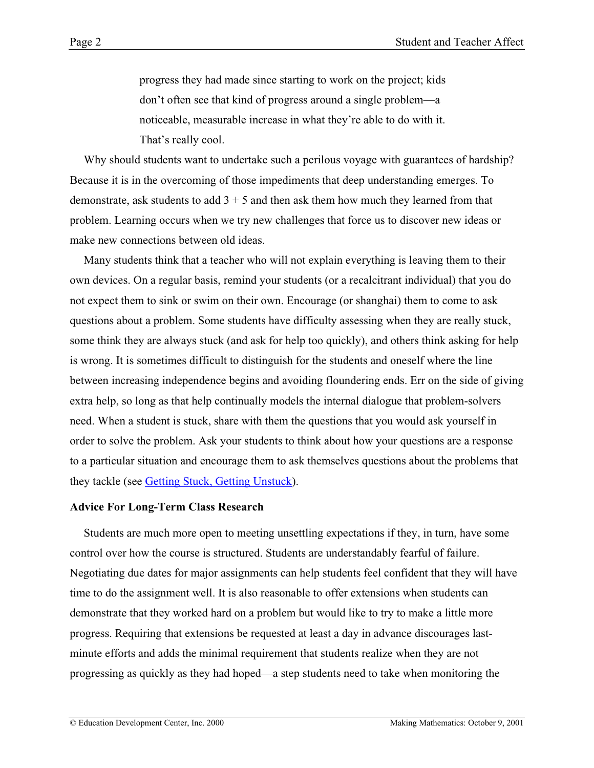progress they had made since starting to work on the project; kids don't often see that kind of progress around a single problem—a noticeable, measurable increase in what they're able to do with it. That's really cool.

Why should students want to undertake such a perilous voyage with guarantees of hardship? Because it is in the overcoming of those impediments that deep understanding emerges. To demonstrate, ask students to add  $3 + 5$  and then ask them how much they learned from that problem. Learning occurs when we try new challenges that force us to discover new ideas or make new connections between old ideas.

Many students think that a teacher who will not explain everything is leaving them to their own devices. On a regular basis, remind your students (or a recalcitrant individual) that you do not expect them to sink or swim on their own. Encourage (or shanghai) them to come to ask questions about a problem. Some students have difficulty assessing when they are really stuck, some think they are always stuck (and ask for help too quickly), and others think asking for help is wrong. It is sometimes difficult to distinguish for the students and oneself where the line between increasing independence begins and avoiding floundering ends. Err on the side of giving extra help, so long as that help continually models the internal dialogue that problem-solvers need. When a student is stuck, share with them the questions that you would ask yourself in order to solve the problem. Ask your students to think about how your questions are a response to a particular situation and encourage them to ask themselves questions about the problems that they tackle (see [Getting Stuck, Getting Unstuck\).](http://www2.edc.org/makingmath/handbook/teacher/StuckAndUnstuck/StuckAndUnstuck.asp)

### **Advice For Long-Term Class Research**

Students are much more open to meeting unsettling expectations if they, in turn, have some control over how the course is structured. Students are understandably fearful of failure. Negotiating due dates for major assignments can help students feel confident that they will have time to do the assignment well. It is also reasonable to offer extensions when students can demonstrate that they worked hard on a problem but would like to try to make a little more progress. Requiring that extensions be requested at least a day in advance discourages lastminute efforts and adds the minimal requirement that students realize when they are not progressing as quickly as they had hoped—a step students need to take when monitoring the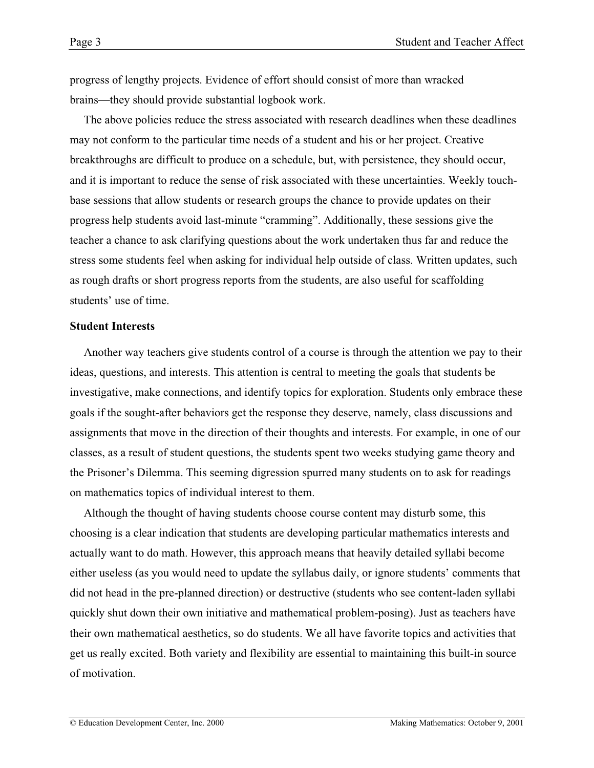progress of lengthy projects. Evidence of effort should consist of more than wracked brains—they should provide substantial logbook work.

The above policies reduce the stress associated with research deadlines when these deadlines may not conform to the particular time needs of a student and his or her project. Creative breakthroughs are difficult to produce on a schedule, but, with persistence, they should occur, and it is important to reduce the sense of risk associated with these uncertainties. Weekly touchbase sessions that allow students or research groups the chance to provide updates on their progress help students avoid last-minute "cramming". Additionally, these sessions give the teacher a chance to ask clarifying questions about the work undertaken thus far and reduce the stress some students feel when asking for individual help outside of class. Written updates, such as rough drafts or short progress reports from the students, are also useful for scaffolding students' use of time.

#### **Student Interests**

Another way teachers give students control of a course is through the attention we pay to their ideas, questions, and interests. This attention is central to meeting the goals that students be investigative, make connections, and identify topics for exploration. Students only embrace these goals if the sought-after behaviors get the response they deserve, namely, class discussions and assignments that move in the direction of their thoughts and interests. For example, in one of our classes, as a result of student questions, the students spent two weeks studying game theory and the Prisoner's Dilemma. This seeming digression spurred many students on to ask for readings on mathematics topics of individual interest to them.

Although the thought of having students choose course content may disturb some, this choosing is a clear indication that students are developing particular mathematics interests and actually want to do math. However, this approach means that heavily detailed syllabi become either useless (as you would need to update the syllabus daily, or ignore students' comments that did not head in the pre-planned direction) or destructive (students who see content-laden syllabi quickly shut down their own initiative and mathematical problem-posing). Just as teachers have their own mathematical aesthetics, so do students. We all have favorite topics and activities that get us really excited. Both variety and flexibility are essential to maintaining this built-in source of motivation.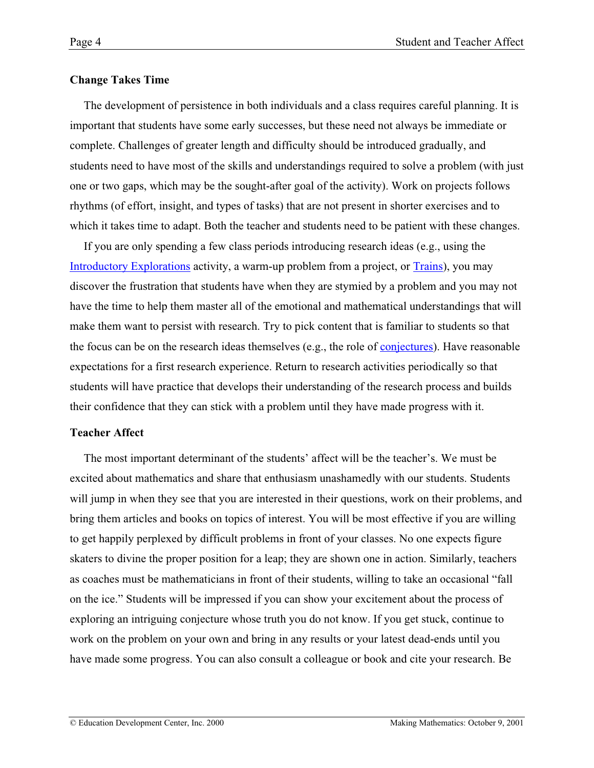## **Change Takes Time**

The development of persistence in both individuals and a class requires careful planning. It is important that students have some early successes, but these need not always be immediate or complete. Challenges of greater length and difficulty should be introduced gradually, and students need to have most of the skills and understandings required to solve a problem (with just one or two gaps, which may be the sought-after goal of the activity). Work on projects follows rhythms (of effort, insight, and types of tasks) that are not present in shorter exercises and to which it takes time to adapt. Both the teacher and students need to be patient with these changes.

If you are only spending a few class periods introducing research ideas (e.g., using the [Introductory Explorations](http://www2.edc.org/makingmath/handbook/teacher/IntroductoryExplorations/IntroductoryExplorations.asp) activity, a warm-up problem from a project, or [Trains\),](http://www2.edc.org/makingmath/mathprojects/trains/trains.asp) you may discover the frustration that students have when they are stymied by a problem and you may not have the time to help them master all of the emotional and mathematical understandings that will make them want to persist with research. Try to pick content that is familiar to students so that the focus can be on the research ideas themselves (e.g., the role of **conjectures**). Have reasonable expectations for a first research experience. Return to research activities periodically so that students will have practice that develops their understanding of the research process and builds their confidence that they can stick with a problem until they have made progress with it.

### **Teacher Affect**

The most important determinant of the students' affect will be the teacher's. We must be excited about mathematics and share that enthusiasm unashamedly with our students. Students will jump in when they see that you are interested in their questions, work on their problems, and bring them articles and books on topics of interest. You will be most effective if you are willing to get happily perplexed by difficult problems in front of your classes. No one expects figure skaters to divine the proper position for a leap; they are shown one in action. Similarly, teachers as coaches must be mathematicians in front of their students, willing to take an occasional "fall on the ice." Students will be impressed if you can show your excitement about the process of exploring an intriguing conjecture whose truth you do not know. If you get stuck, continue to work on the problem on your own and bring in any results or your latest dead-ends until you have made some progress. You can also consult a colleague or book and cite your research. Be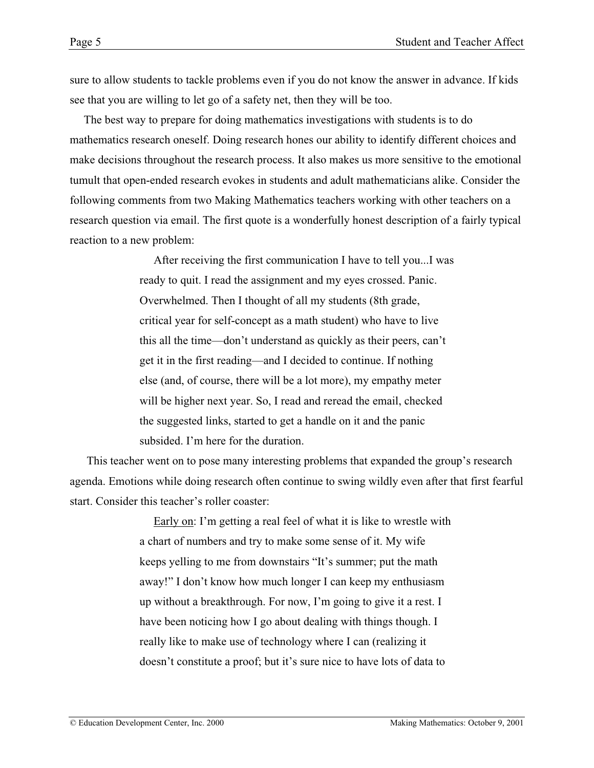sure to allow students to tackle problems even if you do not know the answer in advance. If kids see that you are willing to let go of a safety net, then they will be too.

The best way to prepare for doing mathematics investigations with students is to do mathematics research oneself. Doing research hones our ability to identify different choices and make decisions throughout the research process. It also makes us more sensitive to the emotional tumult that open-ended research evokes in students and adult mathematicians alike. Consider the following comments from two Making Mathematics teachers working with other teachers on a research question via email. The first quote is a wonderfully honest description of a fairly typical reaction to a new problem:

> After receiving the first communication I have to tell you...I was ready to quit. I read the assignment and my eyes crossed. Panic. Overwhelmed. Then I thought of all my students (8th grade, critical year for self-concept as a math student) who have to live this all the time—don't understand as quickly as their peers, can't get it in the first reading—and I decided to continue. If nothing else (and, of course, there will be a lot more), my empathy meter will be higher next year. So, I read and reread the email, checked the suggested links, started to get a handle on it and the panic subsided. I'm here for the duration.

 This teacher went on to pose many interesting problems that expanded the group's research agenda. Emotions while doing research often continue to swing wildly even after that first fearful start. Consider this teacher's roller coaster:

> Early on: I'm getting a real feel of what it is like to wrestle with a chart of numbers and try to make some sense of it. My wife keeps yelling to me from downstairs "It's summer; put the math away!" I don't know how much longer I can keep my enthusiasm up without a breakthrough. For now, I'm going to give it a rest. I have been noticing how I go about dealing with things though. I really like to make use of technology where I can (realizing it doesn't constitute a proof; but it's sure nice to have lots of data to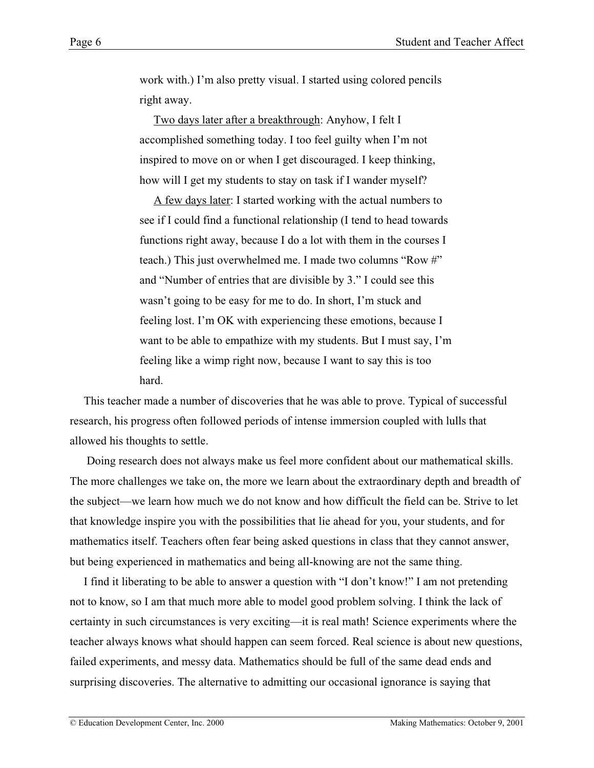work with.) I'm also pretty visual. I started using colored pencils right away.

Two days later after a breakthrough: Anyhow, I felt I accomplished something today. I too feel guilty when I'm not inspired to move on or when I get discouraged. I keep thinking, how will I get my students to stay on task if I wander myself?

A few days later: I started working with the actual numbers to see if I could find a functional relationship (I tend to head towards functions right away, because I do a lot with them in the courses I teach.) This just overwhelmed me. I made two columns "Row #" and "Number of entries that are divisible by 3." I could see this wasn't going to be easy for me to do. In short, I'm stuck and feeling lost. I'm OK with experiencing these emotions, because I want to be able to empathize with my students. But I must say, I'm feeling like a wimp right now, because I want to say this is too hard.

This teacher made a number of discoveries that he was able to prove. Typical of successful research, his progress often followed periods of intense immersion coupled with lulls that allowed his thoughts to settle.

 Doing research does not always make us feel more confident about our mathematical skills. The more challenges we take on, the more we learn about the extraordinary depth and breadth of the subject—we learn how much we do not know and how difficult the field can be. Strive to let that knowledge inspire you with the possibilities that lie ahead for you, your students, and for mathematics itself. Teachers often fear being asked questions in class that they cannot answer, but being experienced in mathematics and being all-knowing are not the same thing.

I find it liberating to be able to answer a question with "I don't know!" I am not pretending not to know, so I am that much more able to model good problem solving. I think the lack of certainty in such circumstances is very exciting—it is real math! Science experiments where the teacher always knows what should happen can seem forced. Real science is about new questions, failed experiments, and messy data. Mathematics should be full of the same dead ends and surprising discoveries. The alternative to admitting our occasional ignorance is saying that